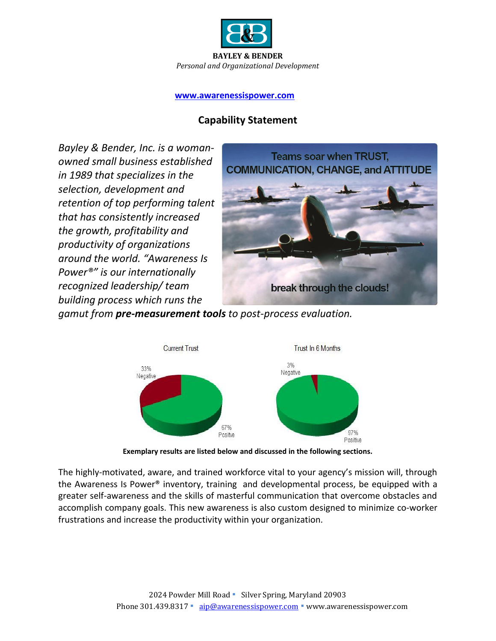

#### **[www.awarenessispower.com](http://www.awarenessispower.com/)**

# **Capability Statement**

*Bayley & Bender, Inc. is a womanowned small business established in 1989 that specializes in the selection, development and retention of top performing talent that has consistently increased the growth, profitability and productivity of organizations around the world. "Awareness Is Power®" is our internationally recognized leadership/ team building process which runs the* 



*gamut from pre-measurement tools to post-process evaluation.*



**Exemplary results are listed below and discussed in the following sections.**

The highly-motivated, aware, and trained workforce vital to your agency's mission will, through the Awareness Is Power® inventory, training and developmental process, be equipped with a greater self-awareness and the skills of masterful communication that overcome obstacles and accomplish company goals. This new awareness is also custom designed to minimize co-worker frustrations and increase the productivity within your organization*.*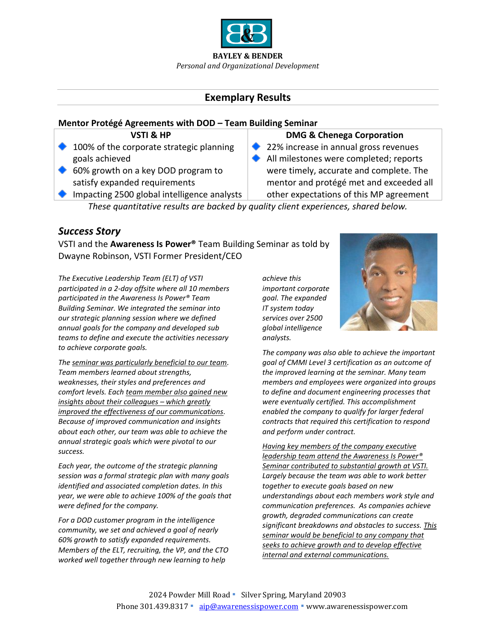

## **Exemplary Results**

### **Mentor Protégé Agreements with DOD – Team Building Seminar**

**VSTI & HP**

- ◆ 100% of the corporate strategic planning goals achieved
- ◆ 60% growth on a key DOD program to satisfy expanded requirements

### **DMG & Chenega Corporation**

- 22% increase in annual gross revenues
- All milestones were completed; reports were timely, accurate and complete. The mentor and protégé met and exceeded all
- Impacting 2500 global intelligence analysts other expectations of this MP agreement *These quantitative results are backed by quality client experiences, shared below.*

## *Success Story*

VSTI and the **Awareness Is Power®** Team Building Seminar as told by Dwayne Robinson, VSTI Former President/CEO

*The Executive Leadership Team (ELT) of VSTI participated in a 2-day offsite where all 10 members participated in the Awareness Is Power® Team Building Seminar. We integrated the seminar into our strategic planning session where we defined annual goals for the company and developed sub teams to define and execute the activities necessary to achieve corporate goals.*

*The seminar was particularly beneficial to our team. Team members learned about strengths, weaknesses, their styles and preferences and comfort levels. Each team member also gained new insights about their colleagues – which greatly improved the effectiveness of our communications. Because of improved communication and insights about each other, our team was able to achieve the annual strategic goals which were pivotal to our success.*

*Each year, the outcome of the strategic planning session was a formal strategic plan with many goals identified and associated completion dates. In this year, we were able to achieve 100% of the goals that were defined for the company.*

*For a DOD customer program in the intelligence community, we set and achieved a goal of nearly 60% growth to satisfy expanded requirements. Members of the ELT, recruiting, the VP, and the CTO worked well together through new learning to help* 

*achieve this important corporate goal. The expanded IT system today services over 2500 global intelligence analysts.*



*The company was also able to achieve the important goal of CMMI Level 3 certification as an outcome of the improved learning at the seminar. Many team members and employees were organized into groups to define and document engineering processes that were eventually certified. This accomplishment enabled the company to qualify for larger federal contracts that required this certification to respond and perform under contract.*

*Having key members of the company executive leadership team attend the Awareness Is Power® Seminar contributed to substantial growth at VSTI. Largely because the team was able to work better together to execute goals based on new understandings about each members work style and communication preferences. As companies achieve growth, degraded communications can create significant breakdowns and obstacles to success. This seminar would be beneficial to any company that seeks to achieve growth and to develop effective internal and external communications.*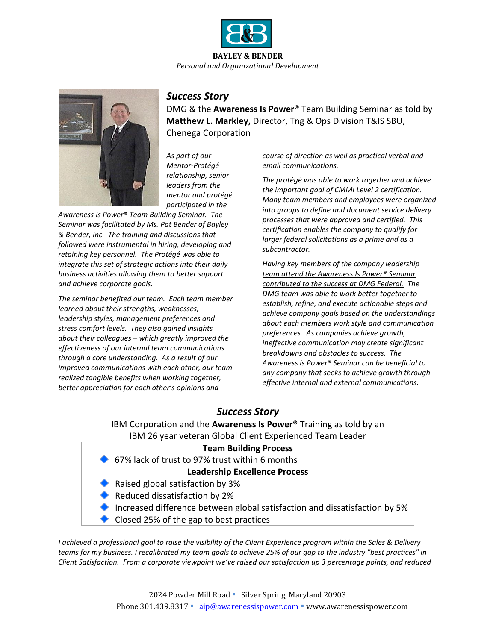



## *Success Story*

DMG & the **Awareness Is Power®** Team Building Seminar as told by **Matthew L. Markley,** Director, Tng & Ops Division T&IS SBU, Chenega Corporation

*As part of our Mentor-Protégé relationship, senior leaders from the mentor and protégé participated in the* 

*Awareness Is Power® Team Building Seminar. The Seminar was facilitated by Ms. Pat Bender of Bayley & Bender, Inc. The training and discussions that followed were instrumental in hiring, developing and retaining key personnel. The Protégé was able to integrate this set of strategic actions into their daily business activities allowing them to better support and achieve corporate goals.*

*The seminar benefited our team. Each team member learned about their strengths, weaknesses, leadership styles, management preferences and stress comfort levels. They also gained insights about their colleagues – which greatly improved the effectiveness of our internal team communications through a core understanding. As a result of our improved communications with each other, our team realized tangible benefits when working together, better appreciation for each other's opinions and* 

*course of direction as well as practical verbal and email communications.*

*The protégé was able to work together and achieve the important goal of CMMI Level 2 certification. Many team members and employees were organized into groups to define and document service delivery processes that were approved and certified. This certification enables the company to qualify for larger federal solicitations as a prime and as a subcontractor.*

*Having key members of the company leadership team attend the Awareness Is Power® Seminar contributed to the success at DMG Federal. The DMG team was able to work better together to establish, refine, and execute actionable steps and achieve company goals based on the understandings about each members work style and communication preferences. As companies achieve growth, ineffective communication may create significant breakdowns and obstacles to success. The Awareness is Power® Seminar can be beneficial to any company that seeks to achieve growth through effective internal and external communications.*

## *Success Story*

IBM Corporation and the **Awareness Is Power®** Training as told by an IBM 26 year veteran Global Client Experienced Team Leader

| <b>Team Building Process</b>                                                 |
|------------------------------------------------------------------------------|
| ← 67% lack of trust to 97% trust within 6 months                             |
| <b>Leadership Excellence Process</b>                                         |
| Raised global satisfaction by 3%                                             |
| Reduced dissatisfaction by 2%                                                |
| ◆ Increased difference between global satisfaction and dissatisfaction by 5% |
| • Closed 25% of the gap to best practices                                    |

*I achieved a professional goal to raise the visibility of the Client Experience program within the Sales & Delivery teams for my business. I recalibrated my team goals to achieve 25% of our gap to the industry "best practices" in Client Satisfaction. From a corporate viewpoint we've raised our satisfaction up 3 percentage points, and reduced*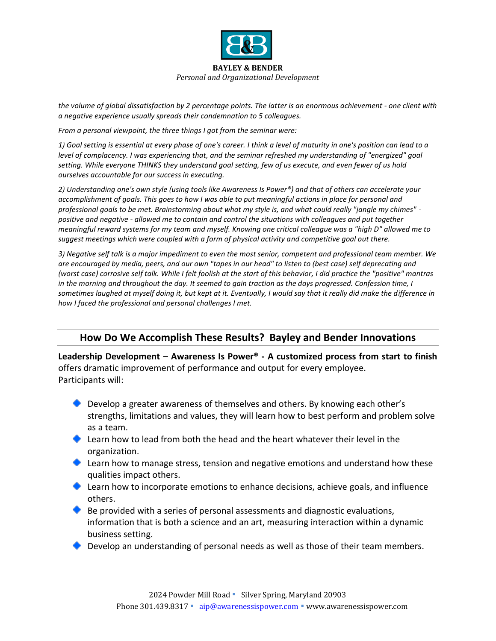

**BAYLEY & BENDER** *Personal and Organizational Development*

*the volume of global dissatisfaction by 2 percentage points. The latter is an enormous achievement - one client with a negative experience usually spreads their condemnation to 5 colleagues.*

*From a personal viewpoint, the three things I got from the seminar were:*

*1) Goal setting is essential at every phase of one's career. I think a level of maturity in one's position can lead to a level of complacency. I was experiencing that, and the seminar refreshed my understanding of "energized" goal setting. While everyone THINKS they understand goal setting, few of us execute, and even fewer of us hold ourselves accountable for our success in executing.*

*2) Understanding one's own style (using tools like Awareness Is Power®) and that of others can accelerate your accomplishment of goals. This goes to how I was able to put meaningful actions in place for personal and professional goals to be met. Brainstorming about what my style is, and what could really "jangle my chimes" positive and negative - allowed me to contain and control the situations with colleagues and put together meaningful reward systems for my team and myself. Knowing one critical colleague was a "high D" allowed me to suggest meetings which were coupled with a form of physical activity and competitive goal out there.* 

*3) Negative self talk is a major impediment to even the most senior, competent and professional team member. We are encouraged by media, peers, and our own "tapes in our head" to listen to (best case) self deprecating and (worst case) corrosive self talk. While I felt foolish at the start of this behavior, I did practice the "positive" mantras in the morning and throughout the day. It seemed to gain traction as the days progressed. Confession time, I sometimes laughed at myself doing it, but kept at it. Eventually, I would say that it really did make the difference in how I faced the professional and personal challenges I met.*

# **How Do We Accomplish These Results? Bayley and Bender Innovations**

**Leadership Development – Awareness Is Power® - A customized process from start to finish**  offers dramatic improvement of performance and output for every employee. Participants will:

- Develop a greater awareness of themselves and others. By knowing each other's strengths, limitations and values, they will learn how to best perform and problem solve as a team.
- ◆ Learn how to lead from both the head and the heart whatever their level in the organization.
- ◆ Learn how to manage stress, tension and negative emotions and understand how these qualities impact others.
- Learn how to incorporate emotions to enhance decisions, achieve goals, and influence others.
- $\blacklozenge$  Be provided with a series of personal assessments and diagnostic evaluations, information that is both a science and an art, measuring interaction within a dynamic business setting.
- ◆ Develop an understanding of personal needs as well as those of their team members.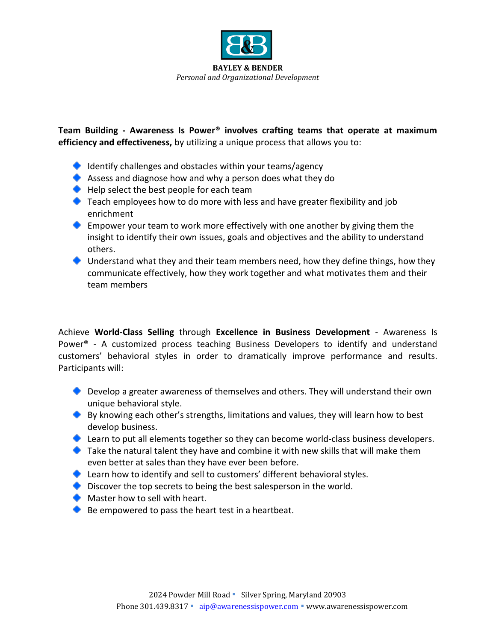

**Team Building - Awareness Is Power® involves crafting teams that operate at maximum efficiency and effectiveness,** by utilizing a unique process that allows you to:

- $\blacklozenge$  Identify challenges and obstacles within your teams/agency
- Assess and diagnose how and why a person does what they do
- $\blacklozenge$  Help select the best people for each team
- ◆ Teach employees how to do more with less and have greater flexibility and job enrichment
- Empower your team to work more effectively with one another by giving them the insight to identify their own issues, goals and objectives and the ability to understand others.
- Understand what they and their team members need, how they define things, how they communicate effectively, how they work together and what motivates them and their team members

Achieve **World-Class Selling** through **Excellence in Business Development** - Awareness Is Power® - A customized process teaching Business Developers to identify and understand customers' behavioral styles in order to dramatically improve performance and results. Participants will:

- ◆ Develop a greater awareness of themselves and others. They will understand their own unique behavioral style.
- By knowing each other's strengths, limitations and values, they will learn how to best develop business.
- ◆ Learn to put all elements together so they can become world-class business developers.
- Take the natural talent they have and combine it with new skills that will make them even better at sales than they have ever been before.
- ◆ Learn how to identify and sell to customers' different behavioral styles.
- ◆ Discover the top secrets to being the best salesperson in the world.
- **Master how to sell with heart.**
- $\bullet$  Be empowered to pass the heart test in a heartbeat.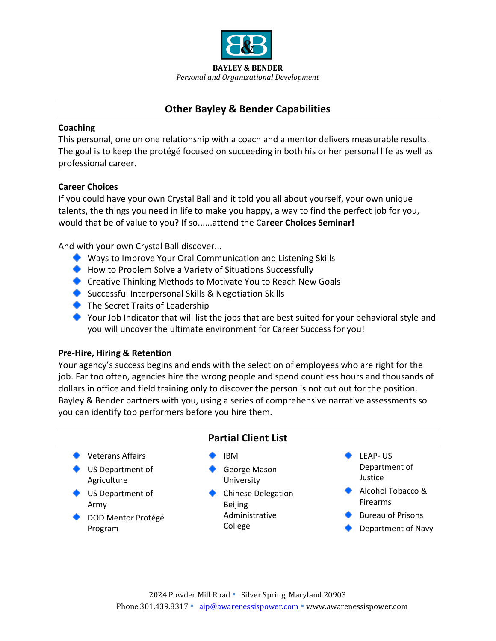

## **Other Bayley & Bender Capabilities**

### **Coaching**

This personal, one on one relationship with a coach and a mentor delivers measurable results. The goal is to keep the protégé focused on succeeding in both his or her personal life as well as professional career.

### **Career Choices**

If you could have your own Crystal Ball and it told you all about yourself, your own unique talents, the things you need in life to make you happy, a way to find the perfect job for you, would that be of value to you? If so......attend the Ca**reer Choices Seminar!**

And with your own Crystal Ball discover...

- ◆ Ways to Improve Your Oral Communication and Listening Skills
- ◆ How to Problem Solve a Variety of Situations Successfully
- ◆ Creative Thinking Methods to Motivate You to Reach New Goals
- Successful Interpersonal Skills & Negotiation Skills
- **◆** The Secret Traits of Leadership
- Your Job Indicator that will list the jobs that are best suited for your behavioral style and you will uncover the ultimate environment for Career Success for you!

### **Pre-Hire, Hiring & Retention**

Your agency's success begins and ends with the selection of employees who are right for the job. Far too often, agencies hire the wrong people and spend countless hours and thousands of dollars in office and field training only to discover the person is not cut out for the position. Bayley & Bender partners with you, using a series of comprehensive narrative assessments so you can identify top performers before you hire them.